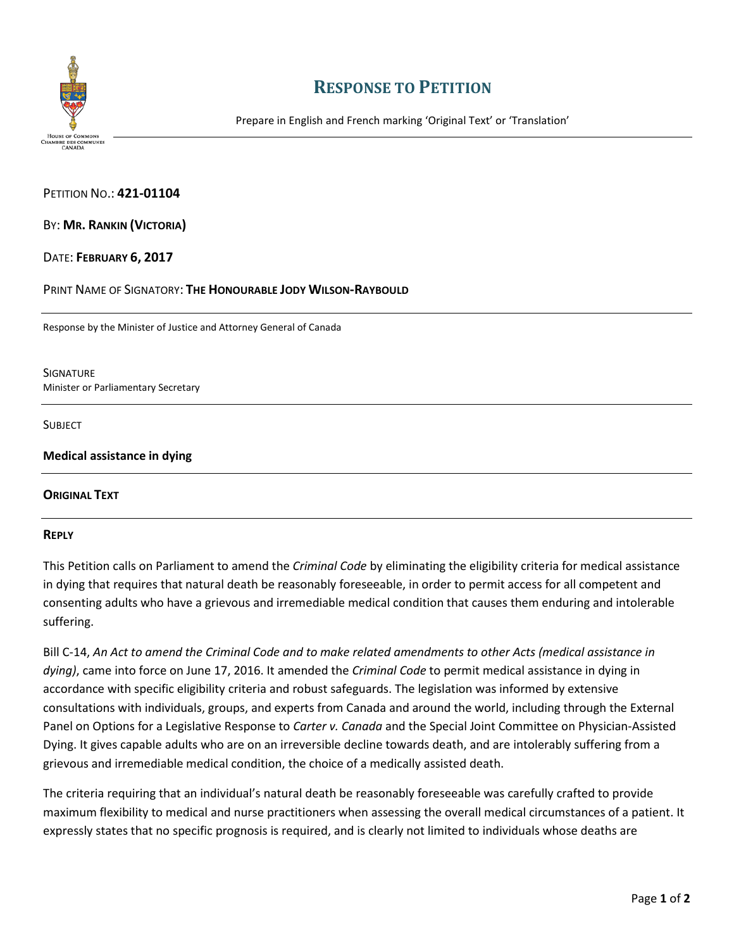

## **RESPONSE TO PETITION**

Prepare in English and French marking 'Original Text' or 'Translation'

PETITION NO.: **421-01104**

BY: **MR. RANKIN (VICTORIA)**

DATE: **FEBRUARY 6, 2017**

PRINT NAME OF SIGNATORY: **THE HONOURABLE JODY WILSON-RAYBOULD**

Response by the Minister of Justice and Attorney General of Canada

**SIGNATURE** Minister or Parliamentary Secretary

**SUBJECT** 

**Medical assistance in dying** 

## **ORIGINAL TEXT**

## **REPLY**

This Petition calls on Parliament to amend the *Criminal Code* by eliminating the eligibility criteria for medical assistance in dying that requires that natural death be reasonably foreseeable, in order to permit access for all competent and consenting adults who have a grievous and irremediable medical condition that causes them enduring and intolerable suffering.

Bill C-14, *An Act to amend the Criminal Code and to make related amendments to other Acts (medical assistance in dying)*, came into force on June 17, 2016. It amended the *Criminal Code* to permit medical assistance in dying in accordance with specific eligibility criteria and robust safeguards. The legislation was informed by extensive consultations with individuals, groups, and experts from Canada and around the world, including through the External Panel on Options for a Legislative Response to *Carter v. Canada* and the Special Joint Committee on Physician-Assisted Dying. It gives capable adults who are on an irreversible decline towards death, and are intolerably suffering from a grievous and irremediable medical condition, the choice of a medically assisted death.

The criteria requiring that an individual's natural death be reasonably foreseeable was carefully crafted to provide maximum flexibility to medical and nurse practitioners when assessing the overall medical circumstances of a patient. It expressly states that no specific prognosis is required, and is clearly not limited to individuals whose deaths are